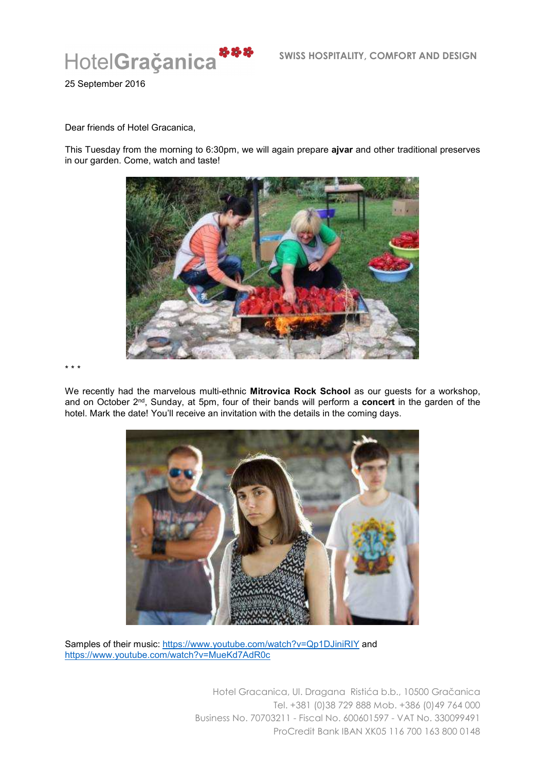

25 September 2016

Dear friends of Hotel Gracanica,

This Tuesday from the morning to 6:30pm, we will again prepare **ajvar** and other traditional preserves in our garden. Come, watch and taste!



\* \* \*

We recently had the marvelous multi-ethnic **Mitrovica Rock School** as our guests for a workshop, and on October 2nd, Sunday, at 5pm, four of their bands will perform a **concert** in the garden of the hotel. Mark the date! You'll receive an invitation with the details in the coming days.



Samples of their music: https://www.youtube.com/watch?v=Qp1DJiniRIY and https://www.youtube.com/watch?v=MueKd7AdR0c

Hotel Gracanica, Ul. Dragana Ristića b.b., 10500 Gračanica Tel. +381 (0)38 729 888 Mob. +386 (0)49 764 000 Business No. 70703211 - Fiscal No. 600601597 - VAT No. 330099491 ProCredit Bank IBAN XK05 116 700 163 800 0148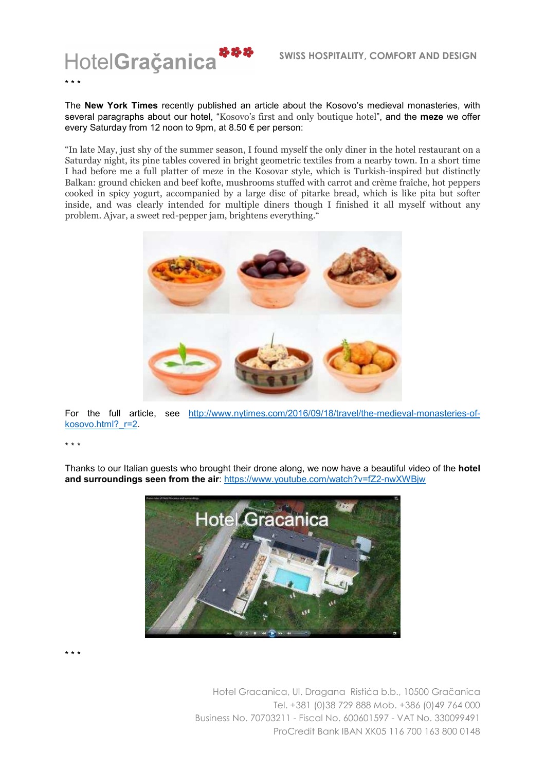

The **New York Times** recently published an article about the Kosovo's medieval monasteries, with several paragraphs about our hotel, "Kosovo's first and only boutique hotel", and the **meze** we offer every Saturday from 12 noon to 9pm, at 8.50 € per person:

"In late May, just shy of the summer season, I found myself the only diner in the hotel restaurant on a Saturday night, its pine tables covered in bright geometric textiles from a nearby town. In a short time I had before me a full platter of meze in the Kosovar style, which is Turkish-inspired but distinctly Balkan: ground chicken and beef kofte, mushrooms stuffed with carrot and crème fraîche, hot peppers cooked in spicy yogurt, accompanied by a large disc of pitarke bread, which is like pita but softer inside, and was clearly intended for multiple diners though I finished it all myself without any problem. Ajvar, a sweet red-pepper jam, brightens everything."



For the full article, see http://www.nytimes.com/2016/09/18/travel/the-medieval-monasteries-ofkosovo.html? r=2.

\* \* \*

Thanks to our Italian guests who brought their drone along, we now have a beautiful video of the **hotel and surroundings seen from the air**: https://www.youtube.com/watch?v=fZ2-nwXWBjw



\* \* \*

Hotel Gracanica, Ul. Dragana Ristića b.b., 10500 Gračanica Tel. +381 (0)38 729 888 Mob. +386 (0)49 764 000 Business No. 70703211 - Fiscal No. 600601597 - VAT No. 330099491 ProCredit Bank IBAN XK05 116 700 163 800 0148